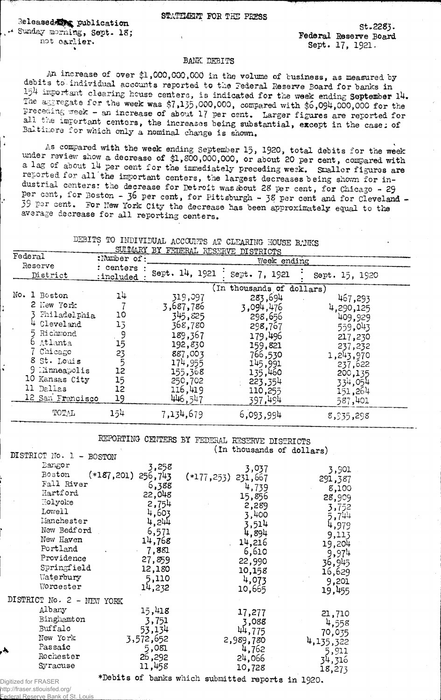**STATEMENT FOE THE PRESS**

Released **Max publication**<br>+ Sunday morning, Sept. 18; **S m d a y m o r a g a y s e p t . It's ; we have seen that it is a serie sound federal Reserve Board** 

St.2283. **sept. 17, 1921.** 

## **BANK DEBITS**

An increase of over \$1,000,000,000 in the volume of business, as measured by debits to individual accounts reported to the Federal Reserve Board for banks in 154 important clearing house centers, is indicated for the week ending September 14.  $\hat{T}$ he a g regate for the week was \$7,135,000,000, compared with \$6,094,000,000 for the preceding week - an increase of about 17 per cent. Larger figures are reported for all the important centers, the increases being substantial, except in the case: of Baltimore for which only a nominal change is shown.

As compared with the week ending September 15, 1920, total debits for the week under review show a decrease of \$1,800,000,000, or about 20 per cent, compared with a lag of about 14 per cent for the immediately preceding weak. Smaller figures are reported for all the important centers, the largest decreases being shown for industrial centers: the decrease for Detroit was about 28 per cent, for Chicago - 29 per cent, for Boston - 36 per cent, for Pittsburgh - 38 per cent and for Cleveland -<sup>39</sup> Per cent. For New York City the decrease has been approximately equal to the average decrease for all reporting centers.

## **DEBITS TO INDIVIDUAL ACCOUNTS AT CLEARING HOUSE BANKS ;--------- — -------------- -SUIffflARY BY FEDERAL RESERVE DISTRICTS**

| Federal<br>Reserve<br>District |                                                                                                                                                                                  | :Number of:                                        | <b>EXAMPLE TO A TO AND TUDINAL DISTRICTS</b><br>Week ending                                                                        |                                                                                                                                                                 |                                                                                                                           |  |
|--------------------------------|----------------------------------------------------------------------------------------------------------------------------------------------------------------------------------|----------------------------------------------------|------------------------------------------------------------------------------------------------------------------------------------|-----------------------------------------------------------------------------------------------------------------------------------------------------------------|---------------------------------------------------------------------------------------------------------------------------|--|
|                                |                                                                                                                                                                                  | centers :<br>:included                             | Sept. 14, 1921                                                                                                                     | Sept. 7, 1921                                                                                                                                                   | Sept. 15, 1920                                                                                                            |  |
|                                | No. 1 Boston<br>2 New York<br>Philadelphia<br>Cleveland<br>5 Richmond<br>6 Atlanta<br>Chicago<br>8 St. Louis<br>9 Minneapolis<br>10 Kansas City<br>11 Dallas<br>12 San Francisco | 14<br>10<br>13<br>15<br>23<br>12<br>15<br>12<br>19 | 319,097<br>3,687,786<br>345,825<br>368,780<br>189,367<br>192,830<br>887,003<br>174,955<br>155,368<br>250,702<br>116,419<br>446,547 | (In thousands of dollars)<br>283,694<br>3,094,476<br>298,656<br>298,767<br>179,496<br>159,821<br>766,530<br>145,991<br>135,460<br>223,354<br>110,255<br>397,494 | 467,293<br>4,290,125<br>409,929<br>559,043<br>217,230<br>237,232<br>1,243,970<br>237,622<br>200,135<br>334,054<br>151,264 |  |
|                                | TOTAL                                                                                                                                                                            | 154                                                | 7,134,679                                                                                                                          | 6,093,994                                                                                                                                                       | 587,401<br>8,935,298                                                                                                      |  |

**REPORTING CENTERS BY FEDERAL RESERVE DISTRICTS** (In thousands of dollars)

| DISTRICT No. 1 - BOSTON<br>Bangor<br>Boston<br>Fall River<br>Hartford<br>Holyoke<br>Lowell<br>Manchester<br>New Bedford<br>New Haven<br>Portland<br>Providence<br>Springfield<br>Waterbury<br>Worcester | 3,258<br>$(*187,201)$ 256,743<br>6,388<br>22,048<br>2,754<br>4,603<br>4,244<br>6,571<br>14,768<br>$-7,881$<br>27,859<br>12,180<br>5,110<br>14,232 | 3,037<br>$(*177, 253)$<br>231,667<br>4,739<br>15,856<br>2,289<br>3,400<br>3,514<br>4,894<br>14,216<br>6,610<br>22,990<br>10,158<br>4,073<br>10,665 | 3,901<br>291,387<br>8,100<br>28,909<br>3,752<br>5,744<br>4,979<br>9,113<br>19,204<br>9,974<br>36,945<br>16,629<br>9,201<br>19,455 |
|---------------------------------------------------------------------------------------------------------------------------------------------------------------------------------------------------------|---------------------------------------------------------------------------------------------------------------------------------------------------|----------------------------------------------------------------------------------------------------------------------------------------------------|-----------------------------------------------------------------------------------------------------------------------------------|
| DISTRICT No. 2 - NEW YORK                                                                                                                                                                               |                                                                                                                                                   |                                                                                                                                                    |                                                                                                                                   |
| Albany<br>Binghamton<br>Buffalo<br>New York<br>Passaic<br>Rochester<br>Syracuse                                                                                                                         | 15,418<br>3,751<br>53,134<br>3,572,652<br>5,081<br>26,292<br>11,458                                                                               | 17,277<br>3,088<br>44,775<br>2,989,780<br>4,762<br>24,066<br>10,728                                                                                | 21,710<br>4,558<br>70,035<br>4,135,322<br>5,911<br>34,316<br>18,273                                                               |
| Digitized for FRASER                                                                                                                                                                                    |                                                                                                                                                   | *Debits of banks which submitted reports in 1920.                                                                                                  |                                                                                                                                   |

http://fraser.stlouisfed.org/

Reserve Bank of St.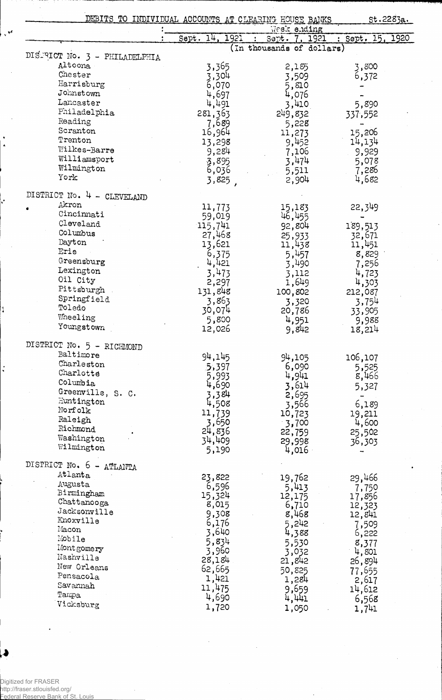| DEBITS TO INDIVIDUAL ACCOUNTS AT CLEARING HOUSE BANKS |                  | Week ending               | st.2283a.        |  |
|-------------------------------------------------------|------------------|---------------------------|------------------|--|
|                                                       | Sept. 14, 1921   | Sept. 7, 1921             | : Sept. 15, 1920 |  |
|                                                       |                  | (In thousands of dollars) |                  |  |
| DISTRICT No. 3 - PHILADELPHIA<br>Altoona              | 3,365            | 2,185                     | 3,800            |  |
| Chester                                               | 3,304            | 3,509                     | 6,372            |  |
| Harrisburg                                            | 6,070            | 5,810                     |                  |  |
| Johnstown                                             | 4,697            | 4,076                     |                  |  |
| Lancaster                                             | 4,491            | 3,410                     | 5,890            |  |
| Philadelphia                                          | 281,363          | 249,832                   | 337,552          |  |
| Reading                                               | 7,689            | 5,228                     |                  |  |
| Scranton                                              | 16,964           | 11,273                    | 15,206           |  |
| Trenton                                               | 13,298           | 9,452                     | 14,134           |  |
| Wilkes-Barre                                          | 9,284            | 7,106                     | 9,929            |  |
| Williamsport                                          |                  | 3,474                     | 5,078            |  |
| Wilmington                                            | 3,895<br>6,036   | 5,511                     | 7,286            |  |
| York                                                  | 3,825,           | 2,904                     | 4,682            |  |
| DISTRICT No. 4 - CLEVELAND                            |                  |                           |                  |  |
| Akron                                                 | 11,773           | 15,183                    | 22,349           |  |
| Cincinnati                                            | 59,019           | 46,455                    |                  |  |
| Cleveland                                             | 115,741          | 92,804                    | 189,513          |  |
| Columbus                                              | 27,468           | 25,933                    | 32,671           |  |
| Dayton                                                | 13,621           | 11,438                    | 11,451           |  |
| Erie                                                  | 6,375            | 5,457                     | 8,829            |  |
| Greensburg                                            | $4,421$<br>3,473 | 3,490                     | 7,256            |  |
| Lexington                                             |                  | 3,112                     | 4,723            |  |
| Oil City                                              | 2,297            | 1,649                     | 4,303            |  |
| Pittsburgh                                            | 131,848          | 100,802                   | 212,087          |  |
| Springfield                                           | 3,863            | 3,320                     | 3,754            |  |
| Toledo                                                | 30,074           | 20,786                    | 33,905           |  |
| Wheeling<br>Youngstown                                | 5,800            | 4,951                     | 9,988            |  |
|                                                       | 12,026           | 9,842                     | 18,214           |  |
| DISTRICT No. 5 - RICHMOND                             |                  |                           |                  |  |
| Baltimore                                             | 94,145           | 94,105                    | 106,107          |  |
| Charleston                                            | 5,397            | 6,090                     | 5,525            |  |
| Charlotte                                             | 5,993            | 4,941                     | 8,466            |  |
| Columbia                                              | 4,690            | 3,614                     | 5,327            |  |
| Greenville, S. C.                                     | 3,384            | 2,695                     |                  |  |
| Huntington                                            | 4,508            | 3,566                     | 6,189            |  |
| Norfolk                                               | 11,739           | 10,723                    | 19,211           |  |
| Raleigh<br>Richmond                                   | 3,650            | 3,700                     | 4,600            |  |
| Washington                                            | 24,836           | 22,759                    | 25,502           |  |
| Wilmington                                            | 34,409           | 29,998                    | 36,303           |  |
|                                                       | 5,190            | 4,016                     |                  |  |
| DISTRICT No. 6 -<br>ATLANTA                           |                  |                           |                  |  |
| Atlanta                                               | 23,822           | 19,762                    | 29,466           |  |
| Augusta                                               | 6,596            | 5,413                     | 7,750            |  |
| Birmingham                                            | 15,324           | 12,175                    | 17,856           |  |
| Chattanooga<br>Jacksonville                           | 8,015            | 6,710                     | 12,323           |  |
| Knoxville                                             | 9,308            | 8,468                     | 12,841           |  |
| Macon                                                 | 6,176            | 5,242                     | 7,509            |  |
| Mobile                                                | 3,640            | 4,388                     | 6,222            |  |
| Montgomery                                            | 5,834            | 5,530                     | 8,377            |  |
| Nashville                                             | 3,960<br>28,184  | 3,032                     | 4,801            |  |
| New Orleans                                           | 62,665           | 21,842                    | 26,894           |  |
| Pensacola                                             | 1,421            | 50,825                    | 77,655           |  |
| Savannah                                              | 11,475           | 1,284<br>9,659            | 2,617            |  |
| Tampa.                                                | 4,690            | 4,441                     | 14,612           |  |
| Vicksburg                                             | 1,720            | 1,050                     | 6,568            |  |
|                                                       |                  |                           | 1,741            |  |

Digitized for FRASER<br>http://fraser.stlouisfed.org/<br>Federal Reserve Bank.of.St. Quis

 $\ddot{\mathbf{v}}$ 

1

÷,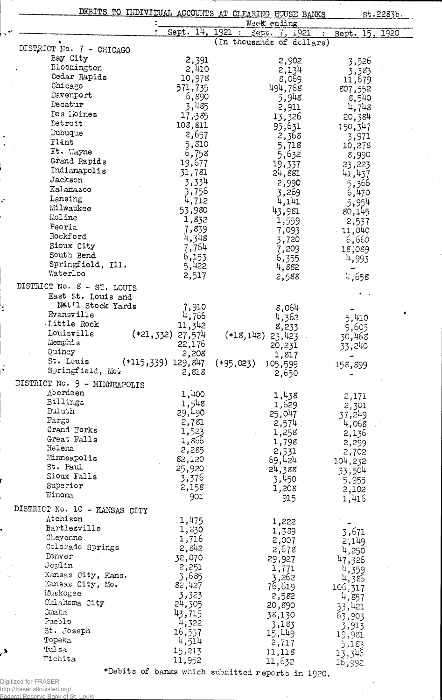|                               |                                  | DEBITS TO INDIVIDUAL ACCOUNTS AT CLEARING HOUSE BANKS | st.2283b.         |
|-------------------------------|----------------------------------|-------------------------------------------------------|-------------------|
|                               | Sept. 14.                        | Week ending<br>1921<br>Sept. 7, 1921<br>$\sim 200$    | 1920              |
|                               |                                  | (In thousands of dollars)                             | Sept. 15,         |
| DISTRICT No. 7 - CHICAGO      |                                  |                                                       |                   |
| Bay City                      | 2,391                            | 2,902                                                 | 3,526             |
| Bloomington                   | 2,410                            | 2,134                                                 | 3,383             |
| Cedar Rapids                  | 10,978                           | 8,069                                                 | 11,679            |
| Chicago                       | 571,735                          | 494,768                                               | 807,552           |
| Davenport                     | 6,890                            | 5,948                                                 | $8,540$<br>4,748  |
| Decatur<br>Des Moines         | 3,485                            | 2,911                                                 |                   |
| Detroit                       | 17,385                           | 13,326                                                | 20,384            |
| Dubuque                       | 108,811                          | 95,631                                                | 150,347           |
| Flint                         | 2,657                            | 2,368                                                 | 3,971             |
| Ft. Wayne                     | 5,810                            | 5,718                                                 | 10,278            |
| Grand Rapids                  | 6,758                            | 5,632                                                 | 8,990             |
| Indianapolis                  | 19,677<br>31,781                 | 19,337                                                | 23,223            |
| Jackson                       |                                  | 24,881                                                | 41,437            |
| Kalamazoo                     | 3,334                            | 2,990                                                 | 5,366             |
| Lansing                       | 3,756<br>4,712                   | 3,269                                                 | 6,470             |
| Milwaukee                     | 53,980                           | 4,141                                                 | 5,954             |
| Moline                        | 1,832                            | 43,981                                                | 80,145            |
| Peoria                        | 7,839                            | 1,559                                                 | 2,537             |
| Rockford                      | 4,348                            | 7,093<br>3,720                                        | - 11,040<br>6,660 |
| Sioux City                    | 7,764                            | 7,209                                                 | 18,089            |
| South Bend                    | 6,153                            | 6,355                                                 | 4,993             |
| Springfield, Ill.             | 5,422                            | 4,882                                                 | ₩                 |
| Waterloo                      | 2,517                            | 2,588                                                 | 4,658             |
| DISTRICT No. 8 - ST. LOUIS    |                                  |                                                       |                   |
| East St. Louis and            |                                  |                                                       |                   |
| Nat'l Stock Yards             | 7,910                            | 8,064                                                 |                   |
| Evansville                    | 4,766                            | 4,362                                                 |                   |
| Little Rock                   | 11,342                           | 8,233                                                 | 5,410<br>9,605    |
| Louisville                    | $(*21,332)$ 27,574               | $(*18,142)$<br>23,423                                 | 30,468            |
| Memphis                       | 22,176                           | 20,231                                                | 33,240            |
| Quincy                        | 2,208                            | 1,817                                                 |                   |
| St. Louis                     | $(*115,339)$ 129,847 $(*95,023)$ | 105,599                                               | 158,899           |
| Springfield, Mo.              | 2,818                            | 2,650                                                 |                   |
| DISTRICT No. 9 - MINNEAPOLIS  |                                  |                                                       |                   |
| Aberdeen                      | 1,400                            | 1,438                                                 | 2,171             |
| Billings                      | 1,548                            | 1,629                                                 | 2,301             |
| Duluth                        | 29,490                           | 25,047                                                | 37,249            |
| Fargo                         | 2,781                            | 2,574                                                 | 4,068             |
| Grand Forks                   | 1,523                            | 1,258                                                 | 2,136             |
| Great Falls                   | 1,866                            | 1,798                                                 | 2,299             |
| Helena                        | 2,285                            |                                                       | 2,702             |
| Minneapolis                   | 82,120                           | $2,331$<br>$69,424$                                   | 104,232           |
| St. Paul                      | 25,920                           | 24,388                                                | 33,504            |
| Sioux Falls                   | 3,376                            | 3,450                                                 | 5,955             |
| Superior                      | 2,158                            | 1,208                                                 | 2,102             |
| Winona                        | 901                              | 915                                                   | 1,416             |
| DISTRICT No. 10 - KANSAS CITY |                                  |                                                       |                   |
| Atchison                      | 1,475                            | 1,222                                                 |                   |
| Bartlesville                  | 1,630                            | 1,389                                                 | 3,671             |
| Cheyenne                      | 1,716                            | 2,007                                                 | 2,149             |
| Colorado Springs              | 2,842                            | 2,678                                                 | 4,250             |
| Tenver                        | 32,070                           | 29,927                                                | 47,326            |
| Joplin                        | 2,251                            | 1,771                                                 | 4,359             |
| Kansas City, Kans.            | 3,685                            | 3,262                                                 | 4,386             |
| Kansas City, Mo.              | 82,427                           | 76,619                                                | 106,317           |
| Muskogee                      | 3,323                            | 2,582                                                 | 4,857             |
| Oklahoma City                 | 24,305                           | 20,890                                                | 33,421            |
| Cmaha<br>Pueblo               | 43,715                           | 38,130                                                | 63,903            |
| St. Joseph                    | 4,322                            | 3,183                                                 | 3,913             |
|                               | 16,537                           | 15,449                                                | 19,981            |
| Topeka.<br>Tulsa              | 4,514                            | 2,717                                                 | 5,183             |
| Wichita                       | 15,213<br>11,952                 | 11,118<br>11,632                                      | 13,346            |
|                               |                                  |                                                       | 16,992            |

Digitized for FRASER<br>http://fraser.stlouisfed.org/<br>Federal Reserve Bank of S